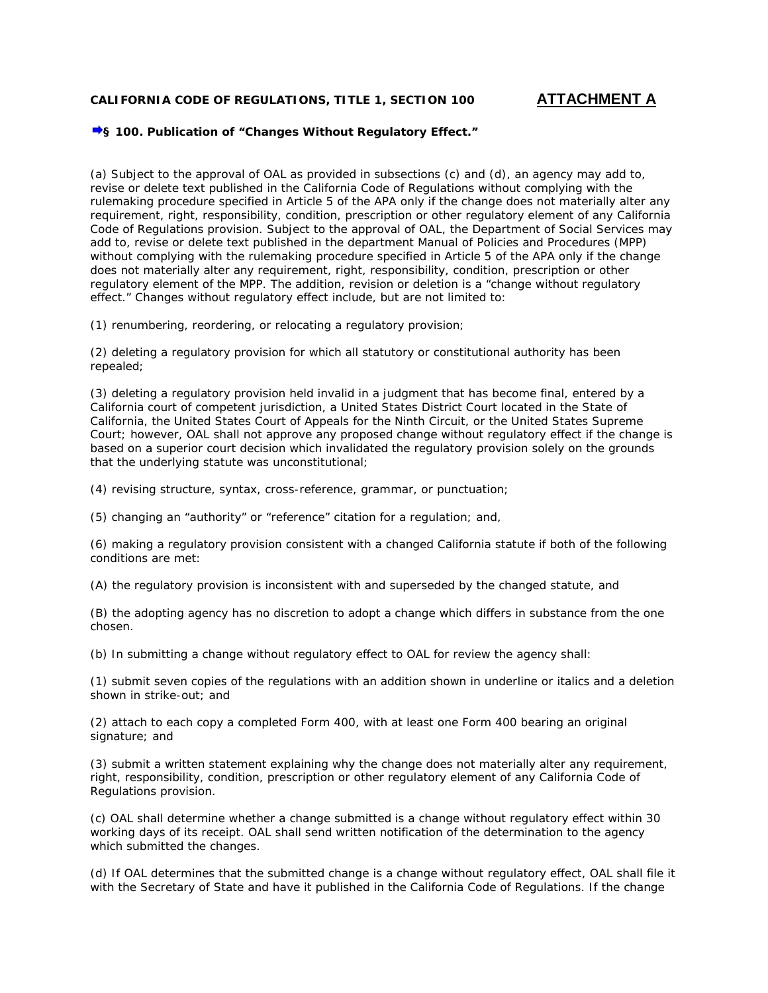## **CALIFORNIA CODE OF REGULATIONS, TITLE 1, SECTION 100 ATTACHMENT A**

## **§ 100. Publication of "Changes Without Regulatory Effect."**

(a) Subject to the approval of OAL as provided in subsections (c) and (d), an agency may add to, revise or delete text published in the California Code of Regulations without complying with the rulemaking procedure specified in Article 5 of the APA only if the change does not materially alter any requirement, right, responsibility, condition, prescription or other regulatory element of any California Code of Regulations provision. Subject to the approval of OAL, the Department of Social Services may add to, revise or delete text published in the department Manual of Policies and Procedures (MPP) without complying with the rulemaking procedure specified in Article 5 of the APA only if the change does not materially alter any requirement, right, responsibility, condition, prescription or other regulatory element of the MPP. The addition, revision or deletion is a "change without regulatory effect." Changes without regulatory effect include, but are not limited to:

(1) renumbering, reordering, or relocating a regulatory provision;

(2) deleting a regulatory provision for which all statutory or constitutional authority has been repealed;

(3) deleting a regulatory provision held invalid in a judgment that has become final, entered by a California court of competent jurisdiction, a United States District Court located in the State of California, the United States Court of Appeals for the Ninth Circuit, or the United States Supreme Court; however, OAL shall not approve any proposed change without regulatory effect if the change is based on a superior court decision which invalidated the regulatory provision solely on the grounds that the underlying statute was unconstitutional;

(4) revising structure, syntax, cross-reference, grammar, or punctuation;

(5) changing an "authority" or "reference" citation for a regulation; and,

(6) making a regulatory provision consistent with a changed California statute if both of the following conditions are met:

(A) the regulatory provision is inconsistent with and superseded by the changed statute, and

(B) the adopting agency has no discretion to adopt a change which differs in substance from the one chosen.

(b) In submitting a change without regulatory effect to OAL for review the agency shall:

(1) submit seven copies of the regulations with an addition shown in underline or italics and a deletion shown in strike-out; and

(2) attach to each copy a completed Form 400, with at least one Form 400 bearing an original signature; and

(3) submit a written statement explaining why the change does not materially alter any requirement, right, responsibility, condition, prescription or other regulatory element of any California Code of Regulations provision.

(c) OAL shall determine whether a change submitted is a change without regulatory effect within 30 working days of its receipt. OAL shall send written notification of the determination to the agency which submitted the changes.

(d) If OAL determines that the submitted change is a change without regulatory effect, OAL shall file it with the Secretary of State and have it published in the California Code of Regulations. If the change